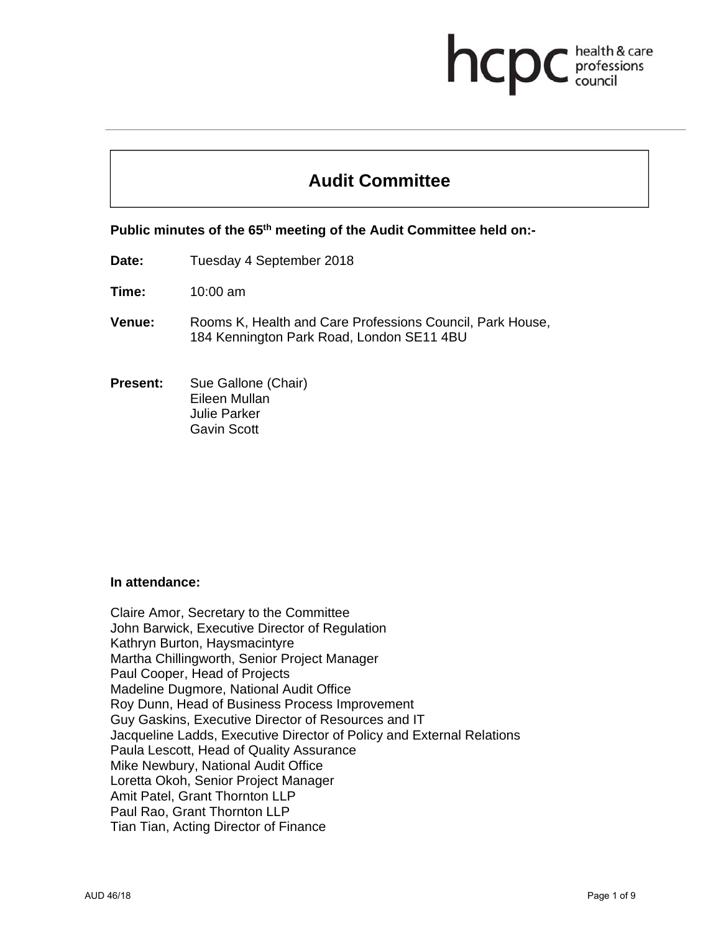# hcp health & care professions

# **Audit Committee**

**Public minutes of the 65th meeting of the Audit Committee held on:-** 

- **Date:** Tuesday 4 September 2018
- **Time:** 10:00 am
- **Venue:** Rooms K, Health and Care Professions Council, Park House, 184 Kennington Park Road, London SE11 4BU
- **Present:** Sue Gallone (Chair) Eileen Mullan Julie Parker Gavin Scott

#### **In attendance:**

Claire Amor, Secretary to the Committee John Barwick, Executive Director of Regulation Kathryn Burton, Haysmacintyre Martha Chillingworth, Senior Project Manager Paul Cooper, Head of Projects Madeline Dugmore, National Audit Office Roy Dunn, Head of Business Process Improvement Guy Gaskins, Executive Director of Resources and IT Jacqueline Ladds, Executive Director of Policy and External Relations Paula Lescott, Head of Quality Assurance Mike Newbury, National Audit Office Loretta Okoh, Senior Project Manager Amit Patel, Grant Thornton LLP Paul Rao, Grant Thornton LLP Tian Tian, Acting Director of Finance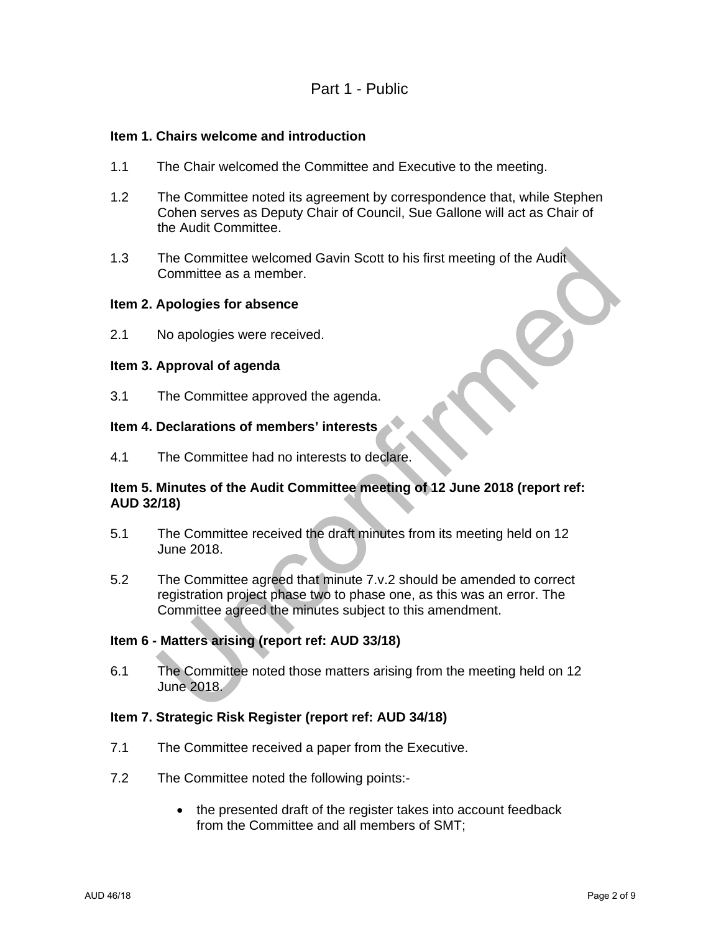# Part 1 - Public

#### **Item 1. Chairs welcome and introduction**

- 1.1 The Chair welcomed the Committee and Executive to the meeting.
- 1.2 The Committee noted its agreement by correspondence that, while Stephen Cohen serves as Deputy Chair of Council, Sue Gallone will act as Chair of the Audit Committee.
- 1.3 The Committee welcomed Gavin Scott to his first meeting of the Audit Committee as a member.

#### **Item 2. Apologies for absence**

2.1 No apologies were received.

#### **Item 3. Approval of agenda**

3.1 The Committee approved the agenda.

# **Item 4. Declarations of members' interests**

4.1 The Committee had no interests to declare.

### **Item 5. Minutes of the Audit Committee meeting of 12 June 2018 (report ref: AUD 32/18)**

- 5.1 The Committee received the draft minutes from its meeting held on 12 June 2018.
- 5.2 The Committee agreed that minute 7.v.2 should be amended to correct registration project phase two to phase one, as this was an error. The Committee agreed the minutes subject to this amendment.

#### **Item 6 - Matters arising (report ref: AUD 33/18)**

6.1 The Committee noted those matters arising from the meeting held on 12 June 2018.

#### **Item 7. Strategic Risk Register (report ref: AUD 34/18)**

- 7.1 The Committee received a paper from the Executive.
- 7.2 The Committee noted the following points:-
	- the presented draft of the register takes into account feedback from the Committee and all members of SMT;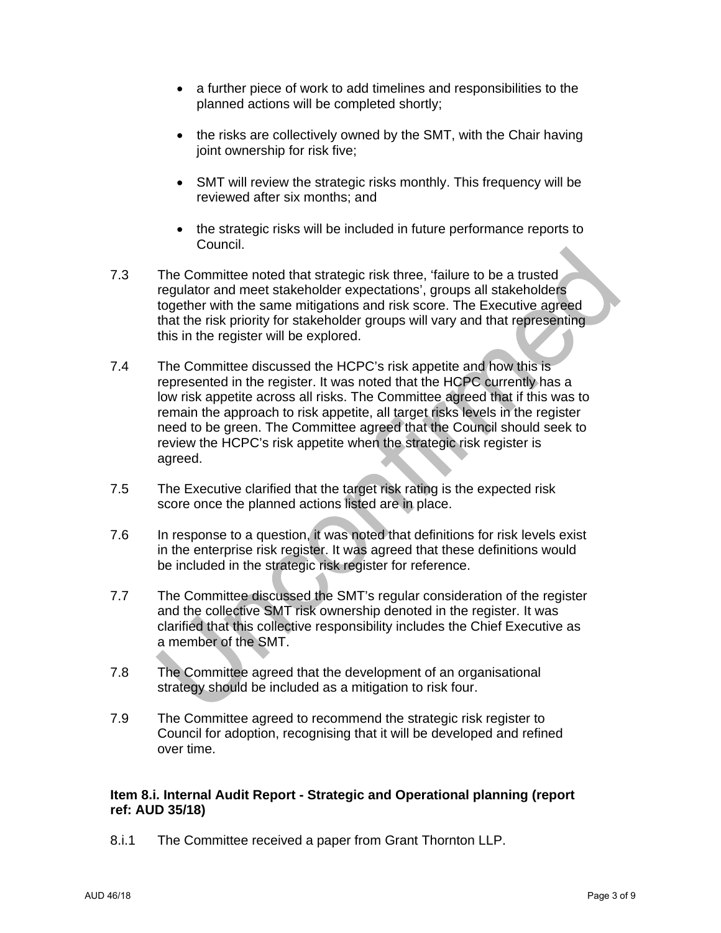- a further piece of work to add timelines and responsibilities to the planned actions will be completed shortly;
- the risks are collectively owned by the SMT, with the Chair having joint ownership for risk five;
- SMT will review the strategic risks monthly. This frequency will be reviewed after six months; and
- the strategic risks will be included in future performance reports to Council.
- 7.3 The Committee noted that strategic risk three, 'failure to be a trusted regulator and meet stakeholder expectations', groups all stakeholders together with the same mitigations and risk score. The Executive agreed that the risk priority for stakeholder groups will vary and that representing this in the register will be explored.
- 7.4 The Committee discussed the HCPC's risk appetite and how this is represented in the register. It was noted that the HCPC currently has a low risk appetite across all risks. The Committee agreed that if this was to remain the approach to risk appetite, all target risks levels in the register need to be green. The Committee agreed that the Council should seek to review the HCPC's risk appetite when the strategic risk register is agreed.
- 7.5 The Executive clarified that the target risk rating is the expected risk score once the planned actions listed are in place.
- 7.6 In response to a question, it was noted that definitions for risk levels exist in the enterprise risk register. It was agreed that these definitions would be included in the strategic risk register for reference.
- 7.7 The Committee discussed the SMT's regular consideration of the register and the collective SMT risk ownership denoted in the register. It was clarified that this collective responsibility includes the Chief Executive as a member of the SMT.
- 7.8 The Committee agreed that the development of an organisational strategy should be included as a mitigation to risk four.
- 7.9 The Committee agreed to recommend the strategic risk register to Council for adoption, recognising that it will be developed and refined over time.

#### **Item 8.i. Internal Audit Report - Strategic and Operational planning (report ref: AUD 35/18)**

8.i.1 The Committee received a paper from Grant Thornton LLP.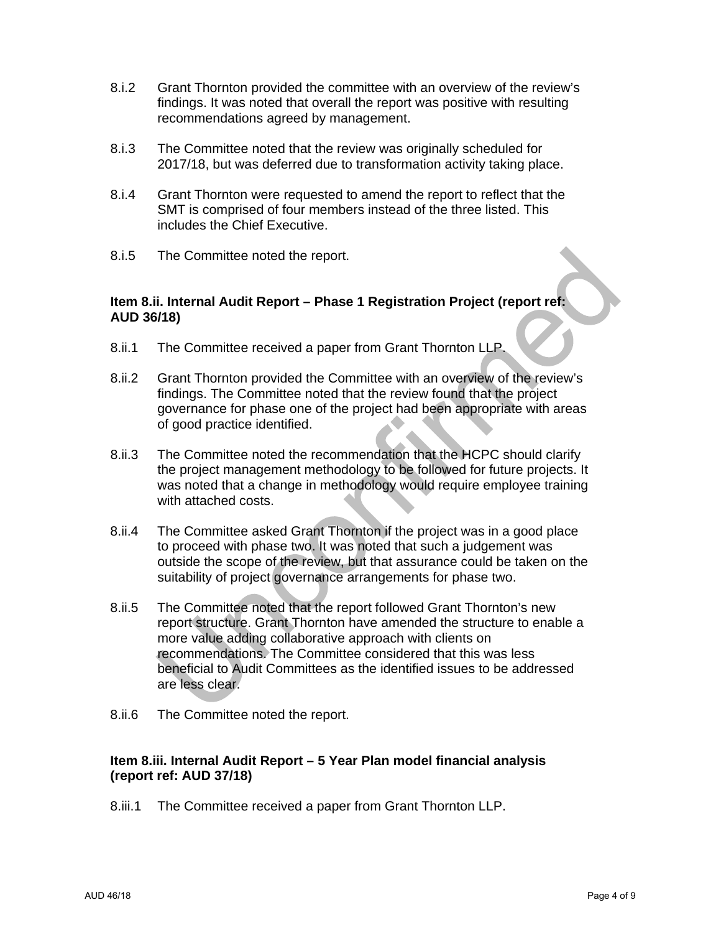- 8.i.2 Grant Thornton provided the committee with an overview of the review's findings. It was noted that overall the report was positive with resulting recommendations agreed by management.
- 8.i.3 The Committee noted that the review was originally scheduled for 2017/18, but was deferred due to transformation activity taking place.
- 8.i.4 Grant Thornton were requested to amend the report to reflect that the SMT is comprised of four members instead of the three listed. This includes the Chief Executive.
- 8.i.5 The Committee noted the report.

#### **Item 8.ii. Internal Audit Report – Phase 1 Registration Project (report ref: AUD 36/18)**

- 8.ii.1 The Committee received a paper from Grant Thornton LLP.
- 8.ii.2 Grant Thornton provided the Committee with an overview of the review's findings. The Committee noted that the review found that the project governance for phase one of the project had been appropriate with areas of good practice identified.
- 8.ii.3 The Committee noted the recommendation that the HCPC should clarify the project management methodology to be followed for future projects. It was noted that a change in methodology would require employee training with attached costs.
- 8.ii.4 The Committee asked Grant Thornton if the project was in a good place to proceed with phase two. It was noted that such a judgement was outside the scope of the review, but that assurance could be taken on the suitability of project governance arrangements for phase two.
- 8.ii.5 The Committee noted that the report followed Grant Thornton's new report structure. Grant Thornton have amended the structure to enable a more value adding collaborative approach with clients on recommendations. The Committee considered that this was less beneficial to Audit Committees as the identified issues to be addressed are less clear.
- 8.ii.6 The Committee noted the report.

#### **Item 8.iii. Internal Audit Report – 5 Year Plan model financial analysis (report ref: AUD 37/18)**

8.iii.1 The Committee received a paper from Grant Thornton LLP.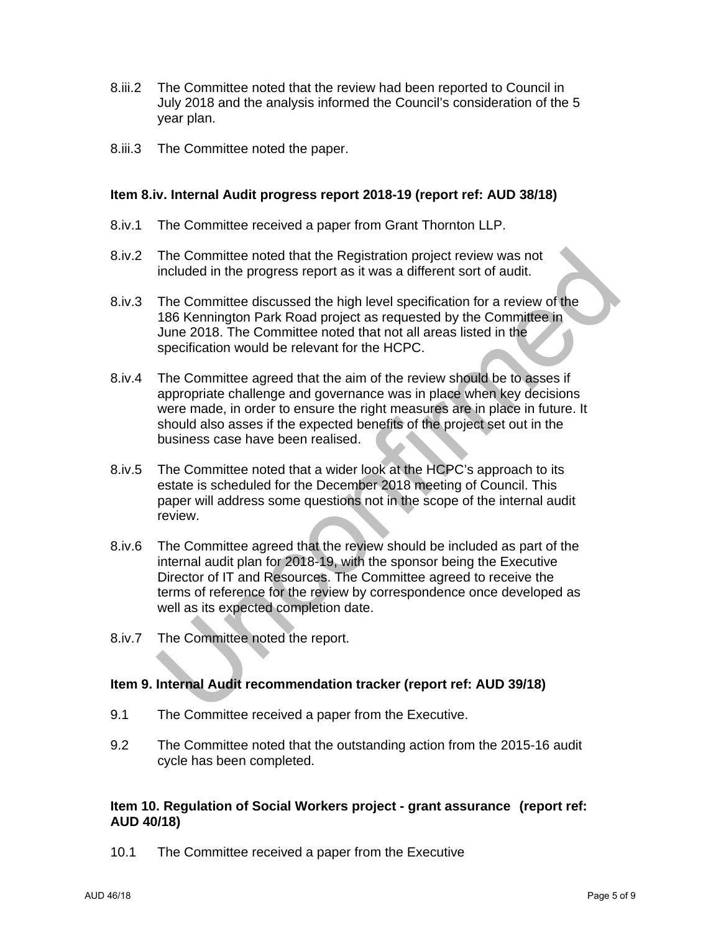- 8.iii.2 The Committee noted that the review had been reported to Council in July 2018 and the analysis informed the Council's consideration of the 5 year plan.
- 8.iii.3 The Committee noted the paper.

#### **Item 8.iv. Internal Audit progress report 2018-19 (report ref: AUD 38/18)**

- 8.iv.1 The Committee received a paper from Grant Thornton LLP.
- 8.iv.2 The Committee noted that the Registration project review was not included in the progress report as it was a different sort of audit.
- 8.iv.3 The Committee discussed the high level specification for a review of the 186 Kennington Park Road project as requested by the Committee in June 2018. The Committee noted that not all areas listed in the specification would be relevant for the HCPC.
- 8.iv.4 The Committee agreed that the aim of the review should be to asses if appropriate challenge and governance was in place when key decisions were made, in order to ensure the right measures are in place in future. It should also asses if the expected benefits of the project set out in the business case have been realised.
- 8.iv.5 The Committee noted that a wider look at the HCPC's approach to its estate is scheduled for the December 2018 meeting of Council. This paper will address some questions not in the scope of the internal audit review.
- 8.iv.6 The Committee agreed that the review should be included as part of the internal audit plan for 2018-19, with the sponsor being the Executive Director of IT and Resources. The Committee agreed to receive the terms of reference for the review by correspondence once developed as well as its expected completion date.
- 8.iv.7 The Committee noted the report.

#### **Item 9. Internal Audit recommendation tracker (report ref: AUD 39/18)**

- 9.1 The Committee received a paper from the Executive.
- 9.2 The Committee noted that the outstanding action from the 2015-16 audit cycle has been completed.

#### **Item 10. Regulation of Social Workers project - grant assurance (report ref: AUD 40/18)**

10.1 The Committee received a paper from the Executive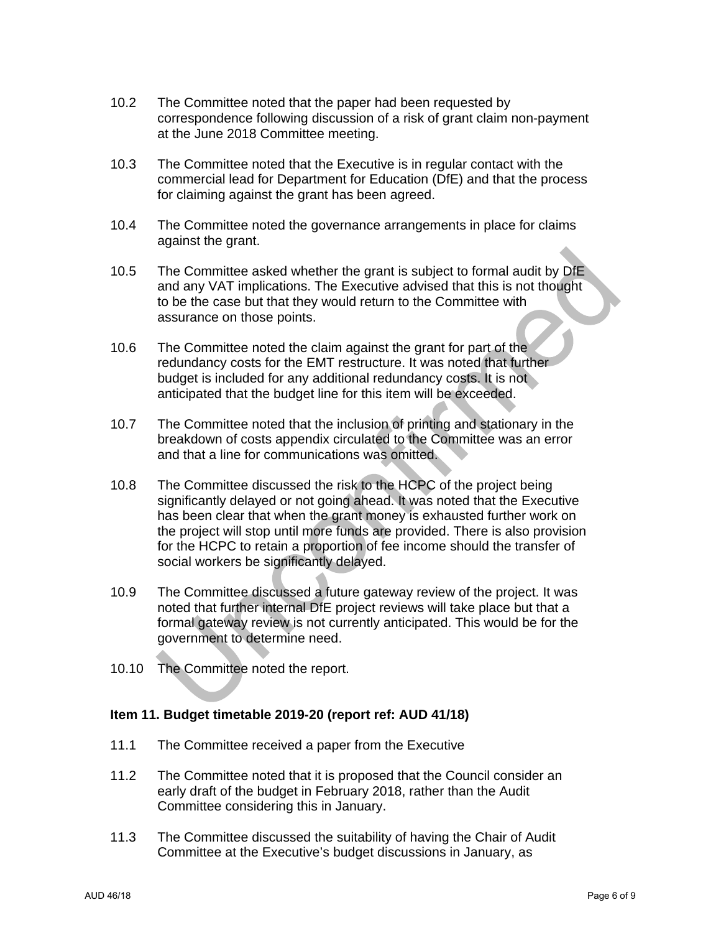- 10.2 The Committee noted that the paper had been requested by correspondence following discussion of a risk of grant claim non-payment at the June 2018 Committee meeting.
- 10.3 The Committee noted that the Executive is in regular contact with the commercial lead for Department for Education (DfE) and that the process for claiming against the grant has been agreed.
- 10.4 The Committee noted the governance arrangements in place for claims against the grant.
- 10.5 The Committee asked whether the grant is subject to formal audit by DfE and any VAT implications. The Executive advised that this is not thought to be the case but that they would return to the Committee with assurance on those points.
- 10.6 The Committee noted the claim against the grant for part of the redundancy costs for the EMT restructure. It was noted that further budget is included for any additional redundancy costs. It is not anticipated that the budget line for this item will be exceeded.
- 10.7 The Committee noted that the inclusion of printing and stationary in the breakdown of costs appendix circulated to the Committee was an error and that a line for communications was omitted.
- 10.8 The Committee discussed the risk to the HCPC of the project being significantly delayed or not going ahead. It was noted that the Executive has been clear that when the grant money is exhausted further work on the project will stop until more funds are provided. There is also provision for the HCPC to retain a proportion of fee income should the transfer of social workers be significantly delayed.
- 10.9 The Committee discussed a future gateway review of the project. It was noted that further internal DfE project reviews will take place but that a formal gateway review is not currently anticipated. This would be for the government to determine need.
- 10.10 The Committee noted the report.

# **Item 11. Budget timetable 2019-20 (report ref: AUD 41/18)**

- 11.1 The Committee received a paper from the Executive
- 11.2 The Committee noted that it is proposed that the Council consider an early draft of the budget in February 2018, rather than the Audit Committee considering this in January.
- 11.3 The Committee discussed the suitability of having the Chair of Audit Committee at the Executive's budget discussions in January, as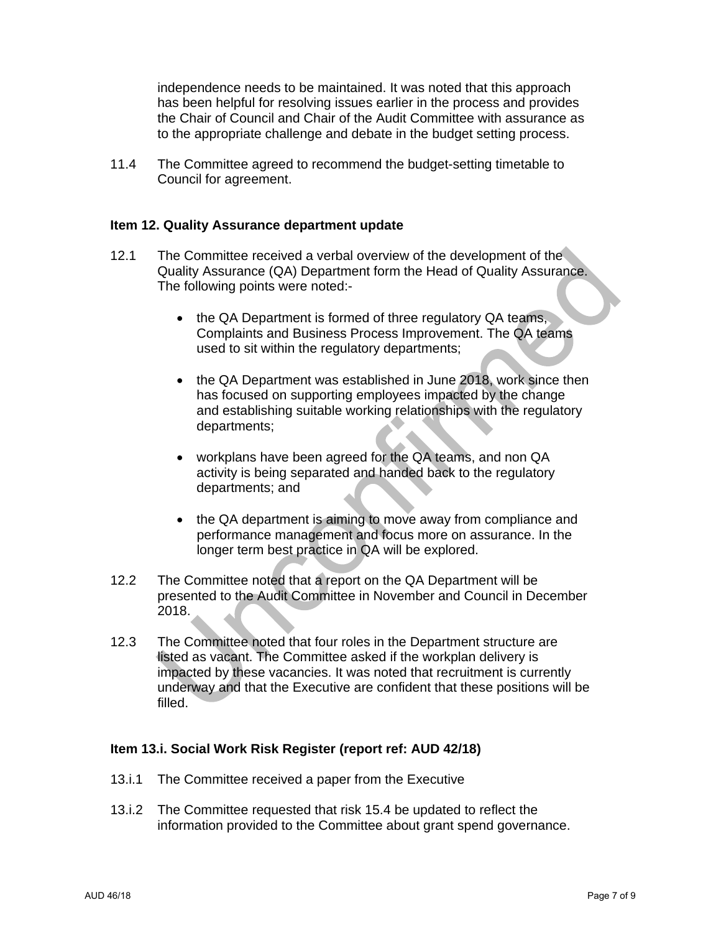independence needs to be maintained. It was noted that this approach has been helpful for resolving issues earlier in the process and provides the Chair of Council and Chair of the Audit Committee with assurance as to the appropriate challenge and debate in the budget setting process.

11.4 The Committee agreed to recommend the budget-setting timetable to Council for agreement.

#### **Item 12. Quality Assurance department update**

- 12.1 The Committee received a verbal overview of the development of the Quality Assurance (QA) Department form the Head of Quality Assurance. The following points were noted:-
	- the QA Department is formed of three regulatory QA teams, Complaints and Business Process Improvement. The QA teams used to sit within the regulatory departments;
	- the QA Department was established in June 2018, work since then has focused on supporting employees impacted by the change and establishing suitable working relationships with the regulatory departments;
	- workplans have been agreed for the QA teams, and non QA activity is being separated and handed back to the regulatory departments; and
	- the QA department is aiming to move away from compliance and performance management and focus more on assurance. In the longer term best practice in QA will be explored.
- 12.2 The Committee noted that a report on the QA Department will be presented to the Audit Committee in November and Council in December 2018.
- 12.3 The Committee noted that four roles in the Department structure are listed as vacant. The Committee asked if the workplan delivery is impacted by these vacancies. It was noted that recruitment is currently underway and that the Executive are confident that these positions will be filled.

#### **Item 13.i. Social Work Risk Register (report ref: AUD 42/18)**

- 13.i.1 The Committee received a paper from the Executive
- 13.i.2 The Committee requested that risk 15.4 be updated to reflect the information provided to the Committee about grant spend governance.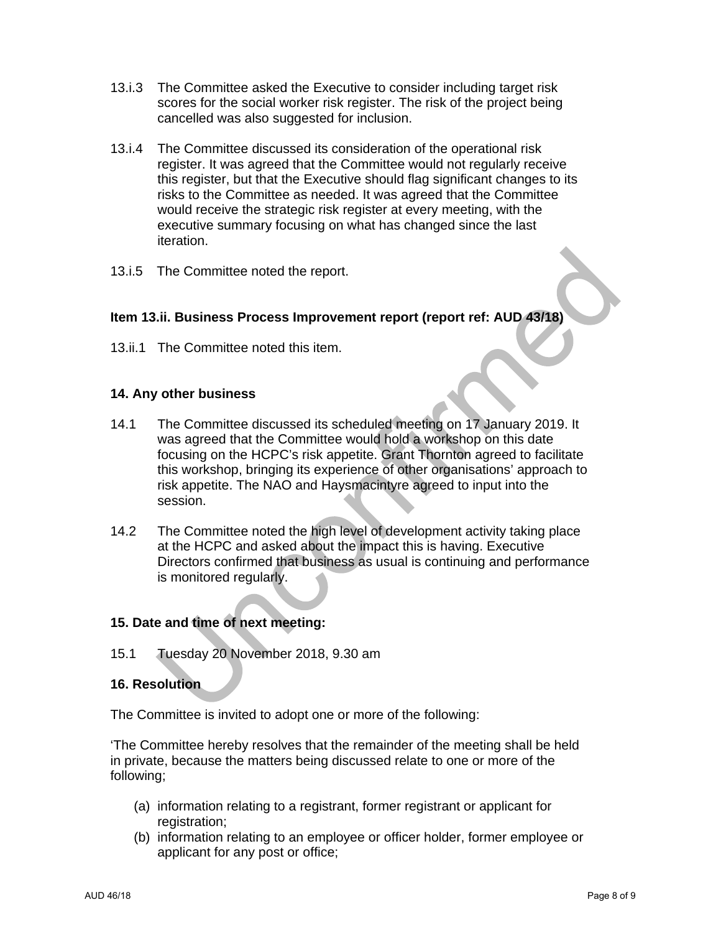- 13.i.3 The Committee asked the Executive to consider including target risk scores for the social worker risk register. The risk of the project being cancelled was also suggested for inclusion.
- 13.i.4 The Committee discussed its consideration of the operational risk register. It was agreed that the Committee would not regularly receive this register, but that the Executive should flag significant changes to its risks to the Committee as needed. It was agreed that the Committee would receive the strategic risk register at every meeting, with the executive summary focusing on what has changed since the last iteration.
- 13.i.5 The Committee noted the report.

# **Item 13.ii. Business Process Improvement report (report ref: AUD 43/18)**

13.ii.1 The Committee noted this item.

#### **14. Any other business**

- 14.1 The Committee discussed its scheduled meeting on 17 January 2019. It was agreed that the Committee would hold a workshop on this date focusing on the HCPC's risk appetite. Grant Thornton agreed to facilitate this workshop, bringing its experience of other organisations' approach to risk appetite. The NAO and Haysmacintyre agreed to input into the session.
- 14.2 The Committee noted the high level of development activity taking place at the HCPC and asked about the impact this is having. Executive Directors confirmed that business as usual is continuing and performance is monitored regularly.

# **15. Date and time of next meeting:**

15.1 Tuesday 20 November 2018, 9.30 am

#### **16. Resolution**

The Committee is invited to adopt one or more of the following:

'The Committee hereby resolves that the remainder of the meeting shall be held in private, because the matters being discussed relate to one or more of the following;

- (a) information relating to a registrant, former registrant or applicant for registration;
- (b) information relating to an employee or officer holder, former employee or applicant for any post or office;